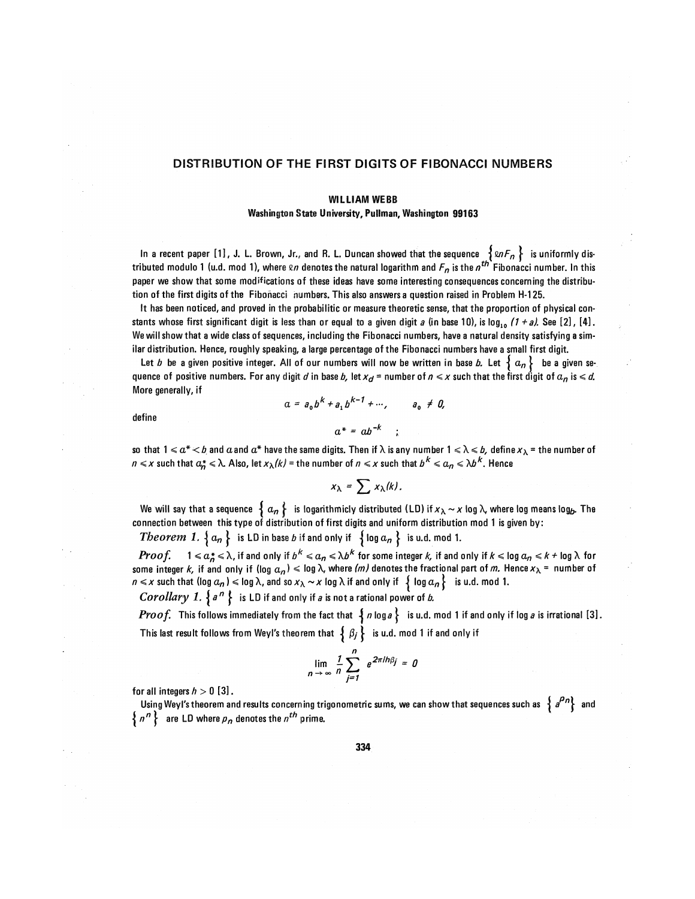## DISTRIBUTION OF THE FIRST DIGITS OF FIBONACCI NUMBERS

## WILLIAM WEBB

## Washington State University, Pullman, Washington 99103

In a recent paper [1], J. L. Brown, Jr., and R. L. Duncan showed that the sequence  $\{ \omega_l F_n \}$  is uniformly distributed modulo 1 (u.d. mod 1), where  $\alpha$  denotes the natural logarithm and  $F_n$  is the  $n^{th}$  Fibonacci number. In this paper we show that some modifications of these ideas have some interesting consequences concerning the distribution of the first digits of the Fibonacci numbers. This also answers a question raised in Problem H-125.

It has been noticed, and proved in the probabiiitic or measure theoretic sense, that the proportion of physical constants whose first significant digit is less than or equal to a given digit a (in base 10), is log<sub>10</sub> (1 + a). See [2], [4]. We will show that a wide class of sequences, including the Fibonacci numbers, have a natural density satisfying a similar distribution. Hence, roughly speaking, a large percentage of the Fibonacci numbers have a small first digit.

Let b be a given positive integer. All of our numbers will now be written in base b. Let  $\{a_n\}$  be a given sequence of positive numbers. For any digit d in base b, let  $x_d$  = number of  $n \leq x$  such that the first digit of  $a_n$  is  $\leq d$ . More generally, if

define

$$
a = a_0 b^K + a_1 b^{K-1} + \cdots, \qquad a_0 \neq 0,
$$
  

$$
a^* = ab^{-k}
$$
;

so that  $1 \leq a^* < b$  and  $a$  and  $a^*$  have the same digits. Then if  $\lambda$  is any number  $1 \leq \lambda \leq b$ , define  $x_\lambda$  = the number of  $n \leqslant x$  such that  $a_n^* \leqslant \lambda$  Also, let  $x_\lambda(k)$  = the number of  $n \leqslant x$  such that  $b^K \leqslant a_n \leqslant \lambda b^K$ . Hence

$$
x_{\lambda} = \sum x_{\lambda}(k).
$$

We will say that a sequence  $\{a_n\}$ - is logarithmicly distributed (LD) if  $x_\lambda \sim x$  log  $\lambda$ , where log means log<sub>b</sub>. The connection between this type of distribution of first digits and uniform distribution mod 1 is given by: *Theorem 1.*  $\{ a_n \}$  is LD in base *b* if and only if  $\{ \log a_n \}$  is u.d. mod 1.

 $Proof. \quad \ 1\leqslant a_n^*\leqslant\lambda,$  if and only if  $b^k\leqslant a_n\leqslant\lambda b^k$  for some integer  $k$ , if and only if  $k\leqslant\log a_n\leqslant k$  + log  $\lambda$  for some integer  $k$ , if and only if (log  $a_n)\leqslant$  log  $\lambda$ , where (*m)* denotes the fractional part of *m.* Hence  $x_\lambda$  = number of  $n \leq x$  such that (log  $a_n$ )  $\leq$  log  $\lambda$ , and so  $x_\lambda \sim x$  log  $\lambda$  if and only if  $\{ \log a_n \}$  is u.d. mod 1.

Corollary 1.  ${a^n}$  is LD if and only if a is not a rational power of b.

*Proof.* This follows immediately from the fact that  $\{n \log a\}$  is u.d. mod 1 if and only if log a is irrational [3]. This last result follows from Weyl's theorem that  $\{ \beta_j \}$  is u.d. mod 1 if and only if

$$
\lim_{n \to \infty} \frac{1}{n} \sum_{j=1}^{n} e^{2\pi i h \beta_j} = 0
$$

for all integers  $h > 0$  [3].

Using Weyl's theorem and results concerning trigonometric sums, we can show that sequences such as  $\,$  a  $^{\prime\prime}$  and  $^{\prime\prime}$  $\{ n^n \}$  are LD where  $p_n$  denotes the  $n^{th}$  prime.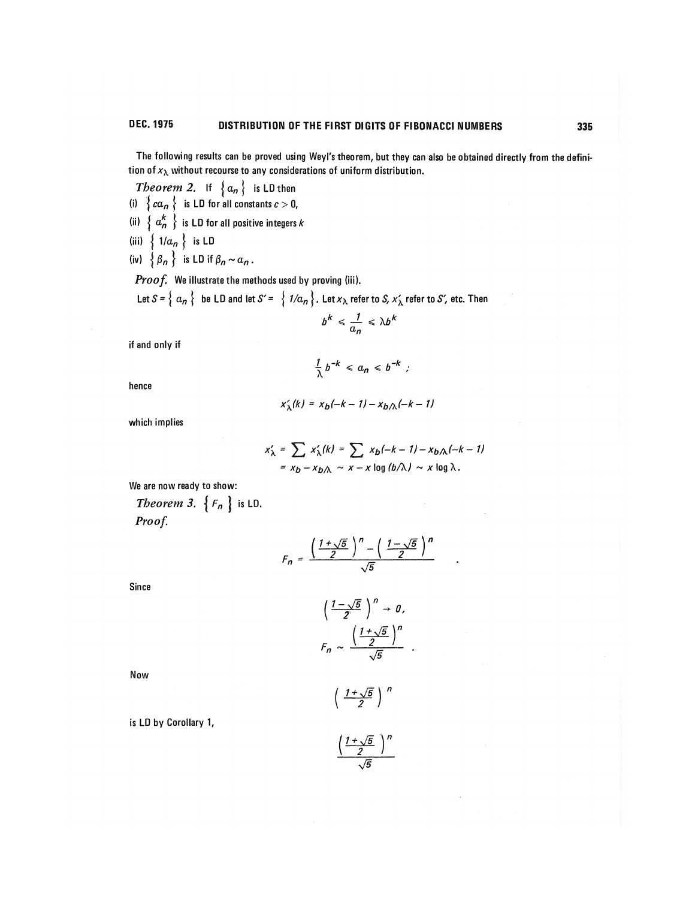The following results can be proved using Weyl's theorem, but they can also be obtained directly from the definition of  $x_{\lambda}$  without recourse to any considerations of uniform distribution.

*Theorem* 2. If  $\{a_n\}$  is LD then

(i)  $\{ ca_n \}$  is LU for all constants  $c > 0$ ,

- (ii)  $\left\{ a_n^k \right\}$  is LD for all positive integers k
- (iii)  $\{ 1/a_n \}$  is LD
- (iv)  $\{\beta_n\}$  is LD if  $\beta_n \sim a_n$ .

Proof. We illustrate the methods used by proving (iii).

Let  $S = \{ a_n \}$  be LD and let  $S' = \{ 1/a_n \}$ . Let  $x_\lambda$  refer to S,  $x'_\lambda$  refer to S', etc. Then

$$
b^k \leq \frac{1}{a_n} \leq \lambda b^k
$$

if and only if

$$
\frac{1}{\lambda}b^{-k} \leq a_n \leq b^{-k} ;
$$

hence

$$
x'_{\lambda}(k) = x_b(-k-1) - x_b \wedge (-k-1)
$$

which implies

$$
x'_{\lambda} = \sum_{k} x'_{\lambda}(k) = \sum_{k} x_{k}(-k-1) - x_{k}(\lambda(k-1))
$$
  
=  $x_{b} - x_{b}\lambda \sim x - x \log(b/\lambda) \sim x \log \lambda$ .

We are now ready to show:

Theorem 3.  $\{F_n\}$  is LD.

Proof.

$$
F_n = \frac{\left(\frac{1+\sqrt{5}}{2}\right)^n - \left(\frac{1-\sqrt{5}}{2}\right)^n}{\sqrt{5}}
$$

Since

$$
\left(\frac{1-\sqrt{5}}{2}\right)^n \to 0,
$$

$$
F_n \sim \frac{\left(\frac{1+\sqrt{5}}{2}\right)^n}{\sqrt{5}}.
$$

Now

 $\left(\frac{1+\sqrt{5}}{2}\right)^n$ 

is LD by Corollary 1,

$$
\frac{\left(\frac{1+\sqrt{5}}{2}\right)^n}{\sqrt{5}}
$$